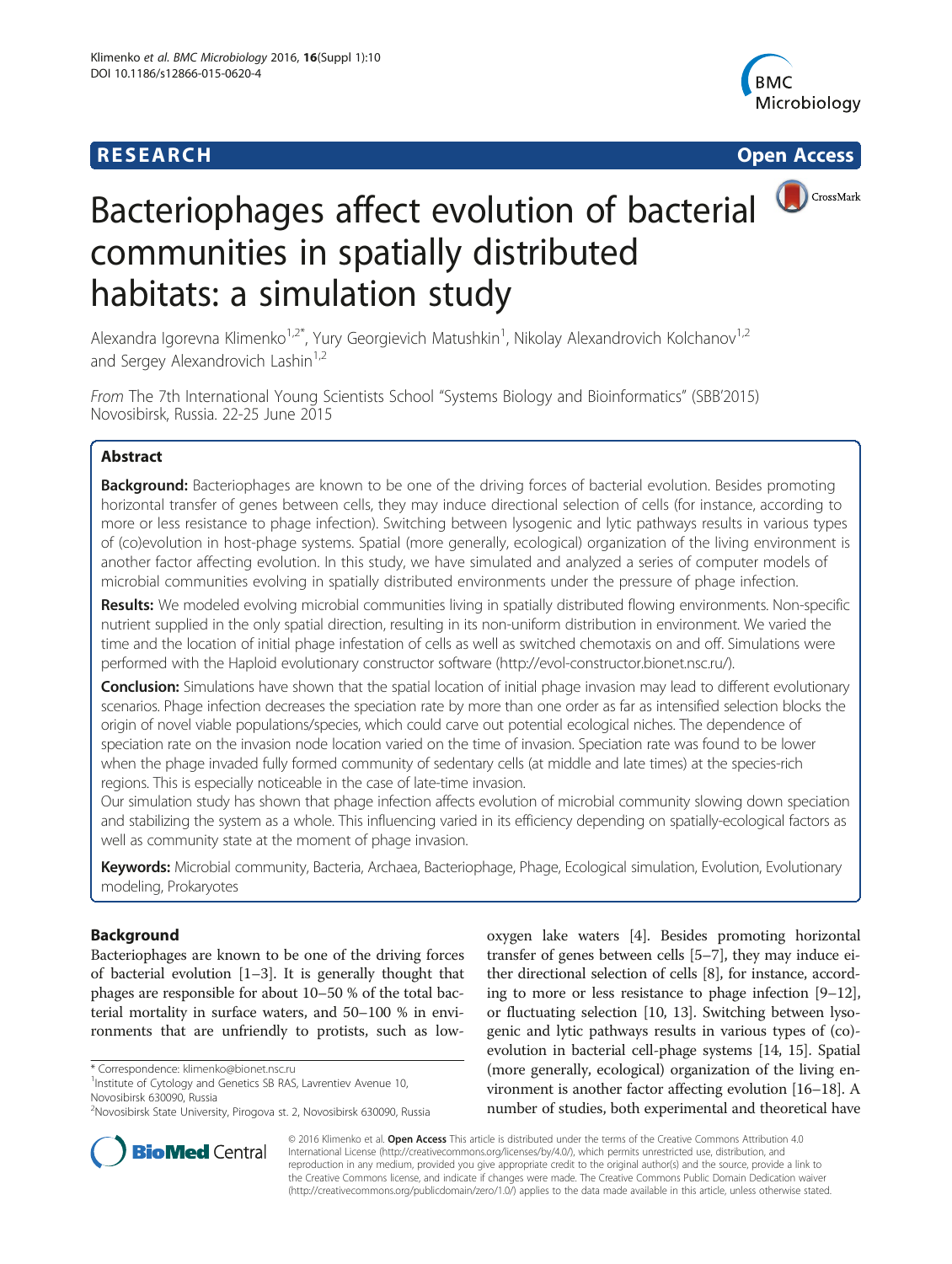## **RESEARCH CHEAR CHEAR CHEAR CHEAR CHEAR CHEAR CHEAR CHEAR CHEAR CHEAR CHEAR CHEAR CHEAR CHEAR CHEAR CHEAR CHEAR**





# Bacteriophages affect evolution of bacterial communities in spatially distributed habitats: a simulation study

Alexandra Igorevna Klimenko<sup>1,2\*</sup>, Yury Georgievich Matushkin<sup>1</sup>, Nikolay Alexandrovich Kolchanov<sup>1,2</sup> and Sergey Alexandrovich Lashin<sup>1,2</sup>

From The 7th International Young Scientists School "Systems Biology and Bioinformatics" (SBB'2015) Novosibirsk, Russia. 22-25 June 2015

## Abstract

**Background:** Bacteriophages are known to be one of the driving forces of bacterial evolution. Besides promoting horizontal transfer of genes between cells, they may induce directional selection of cells (for instance, according to more or less resistance to phage infection). Switching between lysogenic and lytic pathways results in various types of (co)evolution in host-phage systems. Spatial (more generally, ecological) organization of the living environment is another factor affecting evolution. In this study, we have simulated and analyzed a series of computer models of microbial communities evolving in spatially distributed environments under the pressure of phage infection.

Results: We modeled evolving microbial communities living in spatially distributed flowing environments. Non-specific nutrient supplied in the only spatial direction, resulting in its non-uniform distribution in environment. We varied the time and the location of initial phage infestation of cells as well as switched chemotaxis on and off. Simulations were performed with the Haploid evolutionary constructor software ([http://evol-constructor.bionet.nsc.ru/\)](http://evol-constructor.bionet.nsc.ru/).

Conclusion: Simulations have shown that the spatial location of initial phage invasion may lead to different evolutionary scenarios. Phage infection decreases the speciation rate by more than one order as far as intensified selection blocks the origin of novel viable populations/species, which could carve out potential ecological niches. The dependence of speciation rate on the invasion node location varied on the time of invasion. Speciation rate was found to be lower when the phage invaded fully formed community of sedentary cells (at middle and late times) at the species-rich regions. This is especially noticeable in the case of late-time invasion.

Our simulation study has shown that phage infection affects evolution of microbial community slowing down speciation and stabilizing the system as a whole. This influencing varied in its efficiency depending on spatially-ecological factors as well as community state at the moment of phage invasion.

Keywords: Microbial community, Bacteria, Archaea, Bacteriophage, Phage, Ecological simulation, Evolution, Evolutionary modeling, Prokaryotes

## Background

Bacteriophages are known to be one of the driving forces of bacterial evolution [\[1](#page-9-0)–[3](#page-9-0)]. It is generally thought that phages are responsible for about 10–50 % of the total bacterial mortality in surface waters, and 50–100 % in environments that are unfriendly to protists, such as low-

\* Correspondence: [klimenko@bionet.nsc.ru](mailto:klimenko@bionet.nsc.ru) <sup>1</sup>

<sup>1</sup>Institute of Cytology and Genetics SB RAS, Lavrentiev Avenue 10, Novosibirsk 630090, Russia

oxygen lake waters [[4\]](#page-9-0). Besides promoting horizontal transfer of genes between cells [[5](#page-9-0)–[7](#page-9-0)], they may induce either directional selection of cells [[8](#page-9-0)], for instance, according to more or less resistance to phage infection [\[9](#page-9-0)–[12](#page-9-0)], or fluctuating selection [[10](#page-9-0), [13\]](#page-9-0). Switching between lysogenic and lytic pathways results in various types of (co) evolution in bacterial cell-phage systems [[14](#page-9-0), [15\]](#page-9-0). Spatial (more generally, ecological) organization of the living environment is another factor affecting evolution [\[16](#page-9-0)–[18\]](#page-9-0). A number of studies, both experimental and theoretical have



© 2016 Klimenko et al. Open Access This article is distributed under the terms of the Creative Commons Attribution 4.0 International License [\(http://creativecommons.org/licenses/by/4.0/](http://creativecommons.org/licenses/by/4.0/)), which permits unrestricted use, distribution, and reproduction in any medium, provided you give appropriate credit to the original author(s) and the source, provide a link to the Creative Commons license, and indicate if changes were made. The Creative Commons Public Domain Dedication waiver [\(http://creativecommons.org/publicdomain/zero/1.0/](http://creativecommons.org/publicdomain/zero/1.0/)) applies to the data made available in this article, unless otherwise stated.

<sup>&</sup>lt;sup>2</sup>Novosibirsk State University, Pirogova st. 2, Novosibirsk 630090, Russia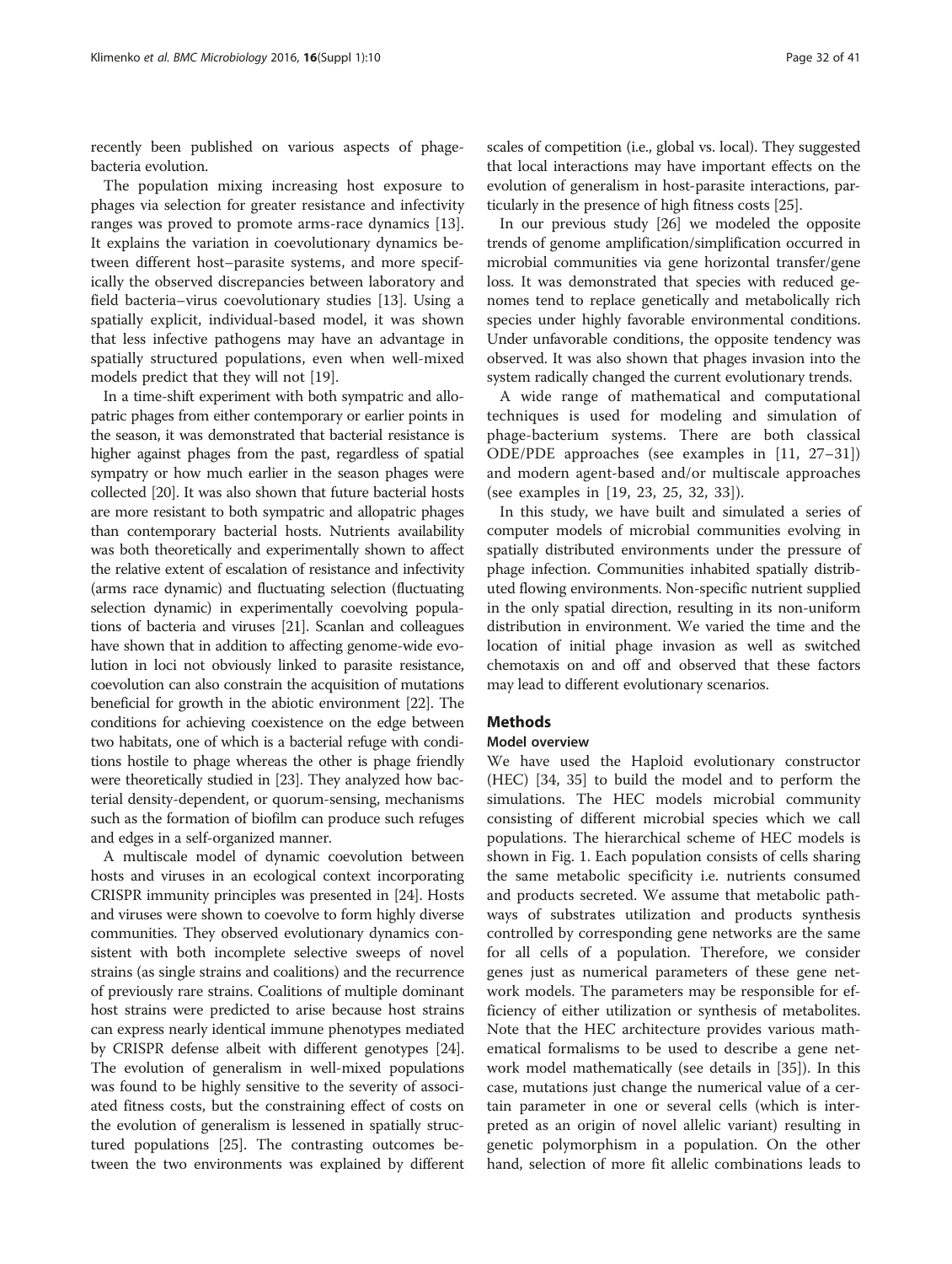recently been published on various aspects of phagebacteria evolution.

The population mixing increasing host exposure to phages via selection for greater resistance and infectivity ranges was proved to promote arms-race dynamics [\[13](#page-9-0)]. It explains the variation in coevolutionary dynamics between different host–parasite systems, and more specifically the observed discrepancies between laboratory and field bacteria–virus coevolutionary studies [[13](#page-9-0)]. Using a spatially explicit, individual-based model, it was shown that less infective pathogens may have an advantage in spatially structured populations, even when well-mixed models predict that they will not [[19\]](#page-9-0).

In a time-shift experiment with both sympatric and allopatric phages from either contemporary or earlier points in the season, it was demonstrated that bacterial resistance is higher against phages from the past, regardless of spatial sympatry or how much earlier in the season phages were collected [[20](#page-9-0)]. It was also shown that future bacterial hosts are more resistant to both sympatric and allopatric phages than contemporary bacterial hosts. Nutrients availability was both theoretically and experimentally shown to affect the relative extent of escalation of resistance and infectivity (arms race dynamic) and fluctuating selection (fluctuating selection dynamic) in experimentally coevolving populations of bacteria and viruses [\[21](#page-9-0)]. Scanlan and colleagues have shown that in addition to affecting genome-wide evolution in loci not obviously linked to parasite resistance, coevolution can also constrain the acquisition of mutations beneficial for growth in the abiotic environment [[22](#page-9-0)]. The conditions for achieving coexistence on the edge between two habitats, one of which is a bacterial refuge with conditions hostile to phage whereas the other is phage friendly were theoretically studied in [\[23\]](#page-9-0). They analyzed how bacterial density-dependent, or quorum-sensing, mechanisms such as the formation of biofilm can produce such refuges and edges in a self-organized manner.

A multiscale model of dynamic coevolution between hosts and viruses in an ecological context incorporating CRISPR immunity principles was presented in [[24](#page-9-0)]. Hosts and viruses were shown to coevolve to form highly diverse communities. They observed evolutionary dynamics consistent with both incomplete selective sweeps of novel strains (as single strains and coalitions) and the recurrence of previously rare strains. Coalitions of multiple dominant host strains were predicted to arise because host strains can express nearly identical immune phenotypes mediated by CRISPR defense albeit with different genotypes [[24](#page-9-0)]. The evolution of generalism in well-mixed populations was found to be highly sensitive to the severity of associated fitness costs, but the constraining effect of costs on the evolution of generalism is lessened in spatially structured populations [[25](#page-9-0)]. The contrasting outcomes between the two environments was explained by different scales of competition (i.e., global vs. local). They suggested that local interactions may have important effects on the evolution of generalism in host-parasite interactions, particularly in the presence of high fitness costs [\[25\]](#page-9-0).

In our previous study [[26](#page-9-0)] we modeled the opposite trends of genome amplification/simplification occurred in microbial communities via gene horizontal transfer/gene loss. It was demonstrated that species with reduced genomes tend to replace genetically and metabolically rich species under highly favorable environmental conditions. Under unfavorable conditions, the opposite tendency was observed. It was also shown that phages invasion into the system radically changed the current evolutionary trends.

A wide range of mathematical and computational techniques is used for modeling and simulation of phage-bacterium systems. There are both classical ODE/PDE approaches (see examples in [\[11](#page-9-0), [27](#page-9-0)–[31](#page-9-0)]) and modern agent-based and/or multiscale approaches (see examples in [\[19](#page-9-0), [23, 25, 32, 33](#page-9-0)]).

In this study, we have built and simulated a series of computer models of microbial communities evolving in spatially distributed environments under the pressure of phage infection. Communities inhabited spatially distributed flowing environments. Non-specific nutrient supplied in the only spatial direction, resulting in its non-uniform distribution in environment. We varied the time and the location of initial phage invasion as well as switched chemotaxis on and off and observed that these factors may lead to different evolutionary scenarios.

## **Methods**

## Model overview

We have used the Haploid evolutionary constructor (HEC) [\[34](#page-10-0), [35](#page-10-0)] to build the model and to perform the simulations. The HEC models microbial community consisting of different microbial species which we call populations. The hierarchical scheme of HEC models is shown in Fig. [1](#page-2-0). Each population consists of cells sharing the same metabolic specificity i.e. nutrients consumed and products secreted. We assume that metabolic pathways of substrates utilization and products synthesis controlled by corresponding gene networks are the same for all cells of a population. Therefore, we consider genes just as numerical parameters of these gene network models. The parameters may be responsible for efficiency of either utilization or synthesis of metabolites. Note that the HEC architecture provides various mathematical formalisms to be used to describe a gene network model mathematically (see details in [\[35\]](#page-10-0)). In this case, mutations just change the numerical value of a certain parameter in one or several cells (which is interpreted as an origin of novel allelic variant) resulting in genetic polymorphism in a population. On the other hand, selection of more fit allelic combinations leads to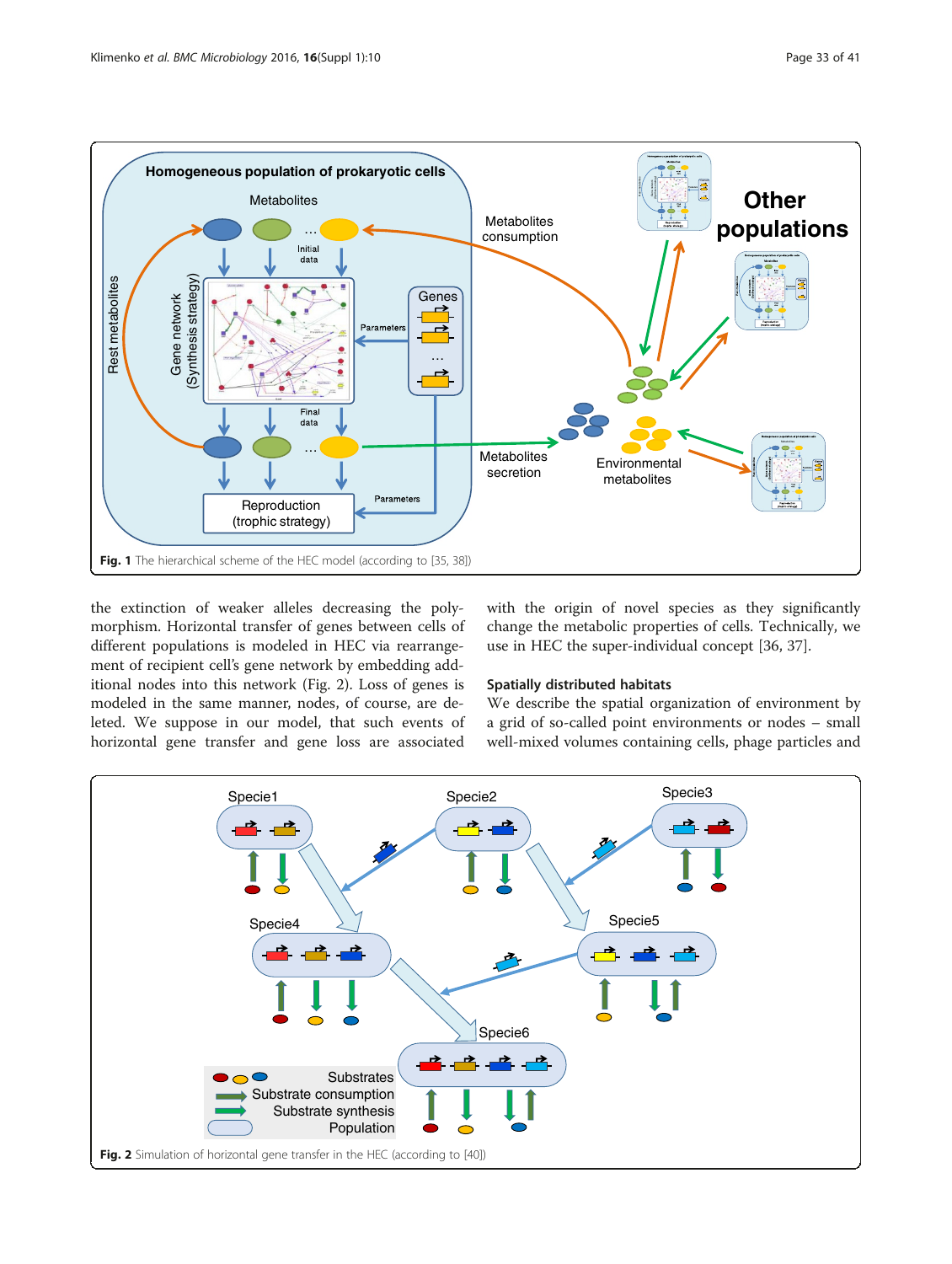<span id="page-2-0"></span>

the extinction of weaker alleles decreasing the polymorphism. Horizontal transfer of genes between cells of different populations is modeled in HEC via rearrangement of recipient cell's gene network by embedding additional nodes into this network (Fig. 2). Loss of genes is modeled in the same manner, nodes, of course, are deleted. We suppose in our model, that such events of horizontal gene transfer and gene loss are associated

with the origin of novel species as they significantly change the metabolic properties of cells. Technically, we use in HEC the super-individual concept [[36, 37\]](#page-10-0).

## Spatially distributed habitats

We describe the spatial organization of environment by a grid of so-called point environments or nodes – small well-mixed volumes containing cells, phage particles and

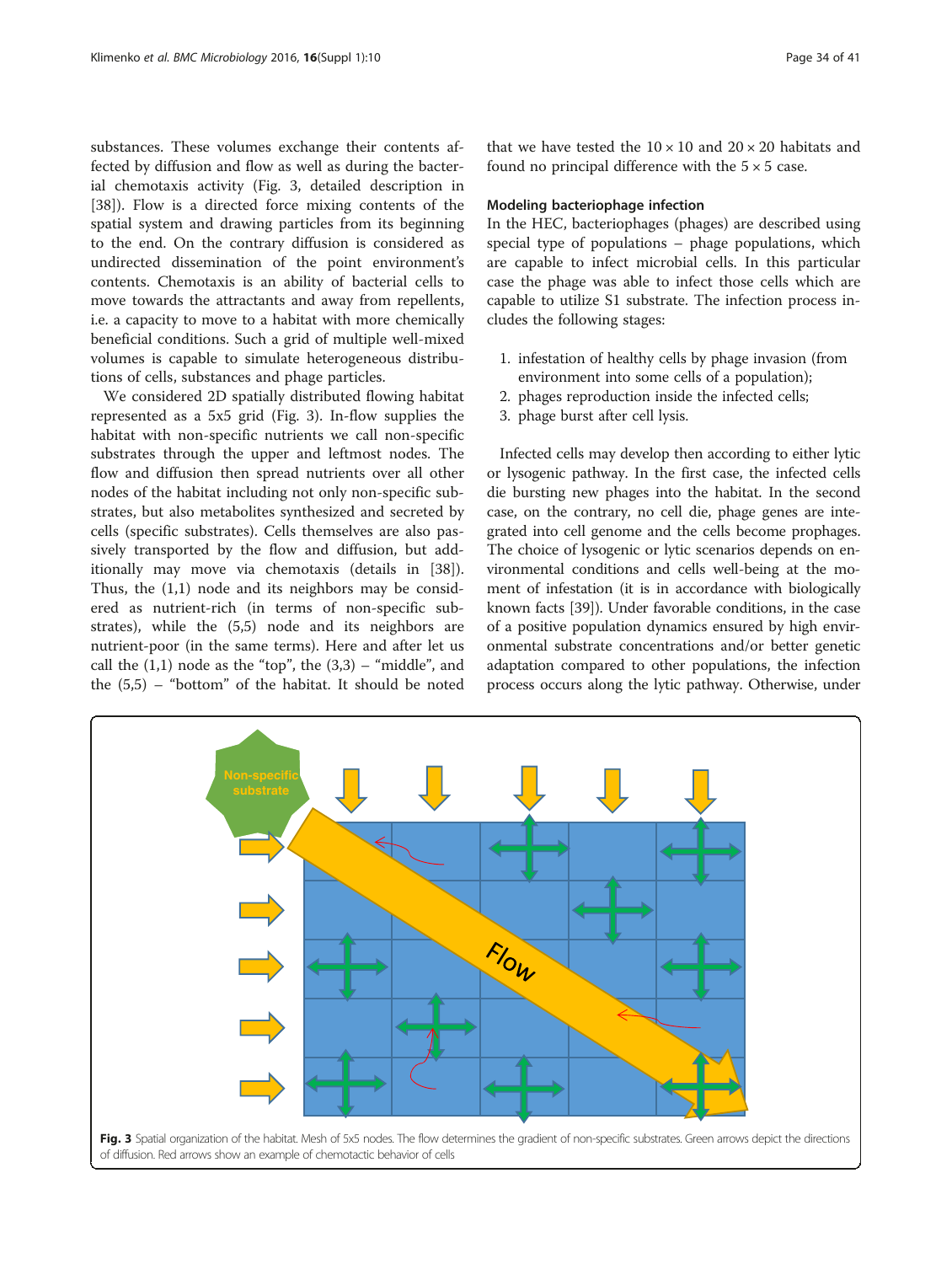<span id="page-3-0"></span>substances. These volumes exchange their contents affected by diffusion and flow as well as during the bacterial chemotaxis activity (Fig. 3, detailed description in [[38\]](#page-10-0)). Flow is a directed force mixing contents of the spatial system and drawing particles from its beginning to the end. On the contrary diffusion is considered as undirected dissemination of the point environment's contents. Chemotaxis is an ability of bacterial cells to move towards the attractants and away from repellents, i.e. a capacity to move to a habitat with more chemically beneficial conditions. Such a grid of multiple well-mixed volumes is capable to simulate heterogeneous distributions of cells, substances and phage particles.

We considered 2D spatially distributed flowing habitat represented as a 5x5 grid (Fig. 3). In-flow supplies the habitat with non-specific nutrients we call non-specific substrates through the upper and leftmost nodes. The flow and diffusion then spread nutrients over all other nodes of the habitat including not only non-specific substrates, but also metabolites synthesized and secreted by cells (specific substrates). Cells themselves are also passively transported by the flow and diffusion, but additionally may move via chemotaxis (details in [\[38](#page-10-0)]). Thus, the (1,1) node and its neighbors may be considered as nutrient-rich (in terms of non-specific substrates), while the (5,5) node and its neighbors are nutrient-poor (in the same terms). Here and after let us call the  $(1,1)$  node as the "top", the  $(3,3)$  – "middle", and the (5,5) – "bottom" of the habitat. It should be noted

that we have tested the  $10 \times 10$  and  $20 \times 20$  habitats and found no principal difference with the  $5 \times 5$  case.

#### Modeling bacteriophage infection

In the HEC, bacteriophages (phages) are described using special type of populations – phage populations, which are capable to infect microbial cells. In this particular case the phage was able to infect those cells which are capable to utilize S1 substrate. The infection process includes the following stages:

- 1. infestation of healthy cells by phage invasion (from environment into some cells of a population);
- 2. phages reproduction inside the infected cells;
- 3. phage burst after cell lysis.

Infected cells may develop then according to either lytic or lysogenic pathway. In the first case, the infected cells die bursting new phages into the habitat. In the second case, on the contrary, no cell die, phage genes are integrated into cell genome and the cells become prophages. The choice of lysogenic or lytic scenarios depends on environmental conditions and cells well-being at the moment of infestation (it is in accordance with biologically known facts [\[39](#page-10-0)]). Under favorable conditions, in the case of a positive population dynamics ensured by high environmental substrate concentrations and/or better genetic adaptation compared to other populations, the infection process occurs along the lytic pathway. Otherwise, under

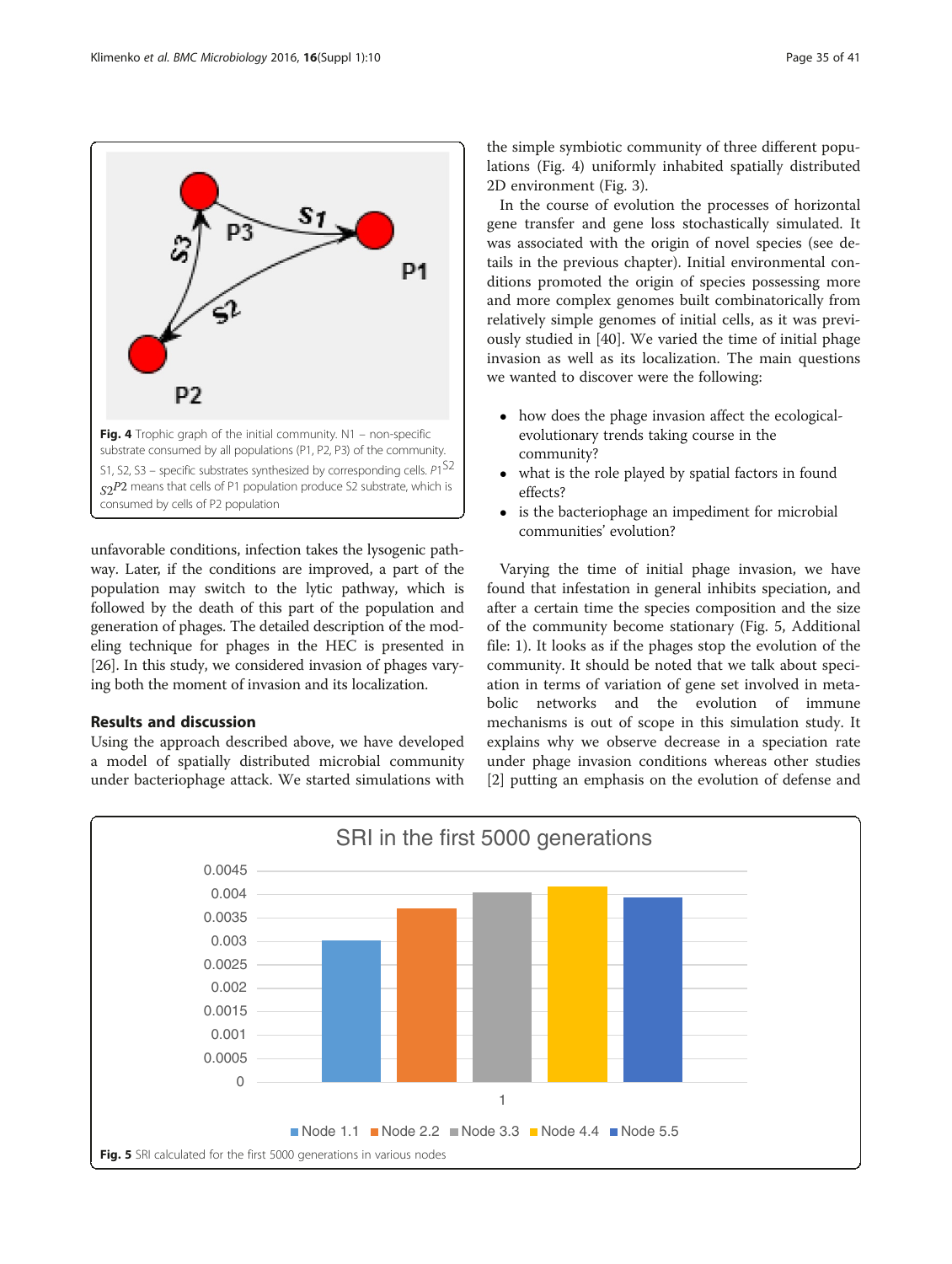<span id="page-4-0"></span>

unfavorable conditions, infection takes the lysogenic pathway. Later, if the conditions are improved, a part of the population may switch to the lytic pathway, which is followed by the death of this part of the population and generation of phages. The detailed description of the modeling technique for phages in the HEC is presented in [[26](#page-9-0)]. In this study, we considered invasion of phages varying both the moment of invasion and its localization.

## Results and discussion

Using the approach described above, we have developed a model of spatially distributed microbial community under bacteriophage attack. We started simulations with

the simple symbiotic community of three different populations (Fig. 4) uniformly inhabited spatially distributed 2D environment (Fig. [3](#page-3-0)).

In the course of evolution the processes of horizontal gene transfer and gene loss stochastically simulated. It was associated with the origin of novel species (see details in the previous chapter). Initial environmental conditions promoted the origin of species possessing more and more complex genomes built combinatorically from relatively simple genomes of initial cells, as it was previously studied in [\[40\]](#page-10-0). We varied the time of initial phage invasion as well as its localization. The main questions we wanted to discover were the following:

- how does the phage invasion affect the ecologicalevolutionary trends taking course in the community?
- what is the role played by spatial factors in found effects?
- is the bacteriophage an impediment for microbial communities' evolution?

Varying the time of initial phage invasion, we have found that infestation in general inhibits speciation, and after a certain time the species composition and the size of the community become stationary (Fig. 5, Additional file: [1](#page-9-0)). It looks as if the phages stop the evolution of the community. It should be noted that we talk about speciation in terms of variation of gene set involved in metabolic networks and the evolution of immune mechanisms is out of scope in this simulation study. It explains why we observe decrease in a speciation rate under phage invasion conditions whereas other studies [[2\]](#page-9-0) putting an emphasis on the evolution of defense and

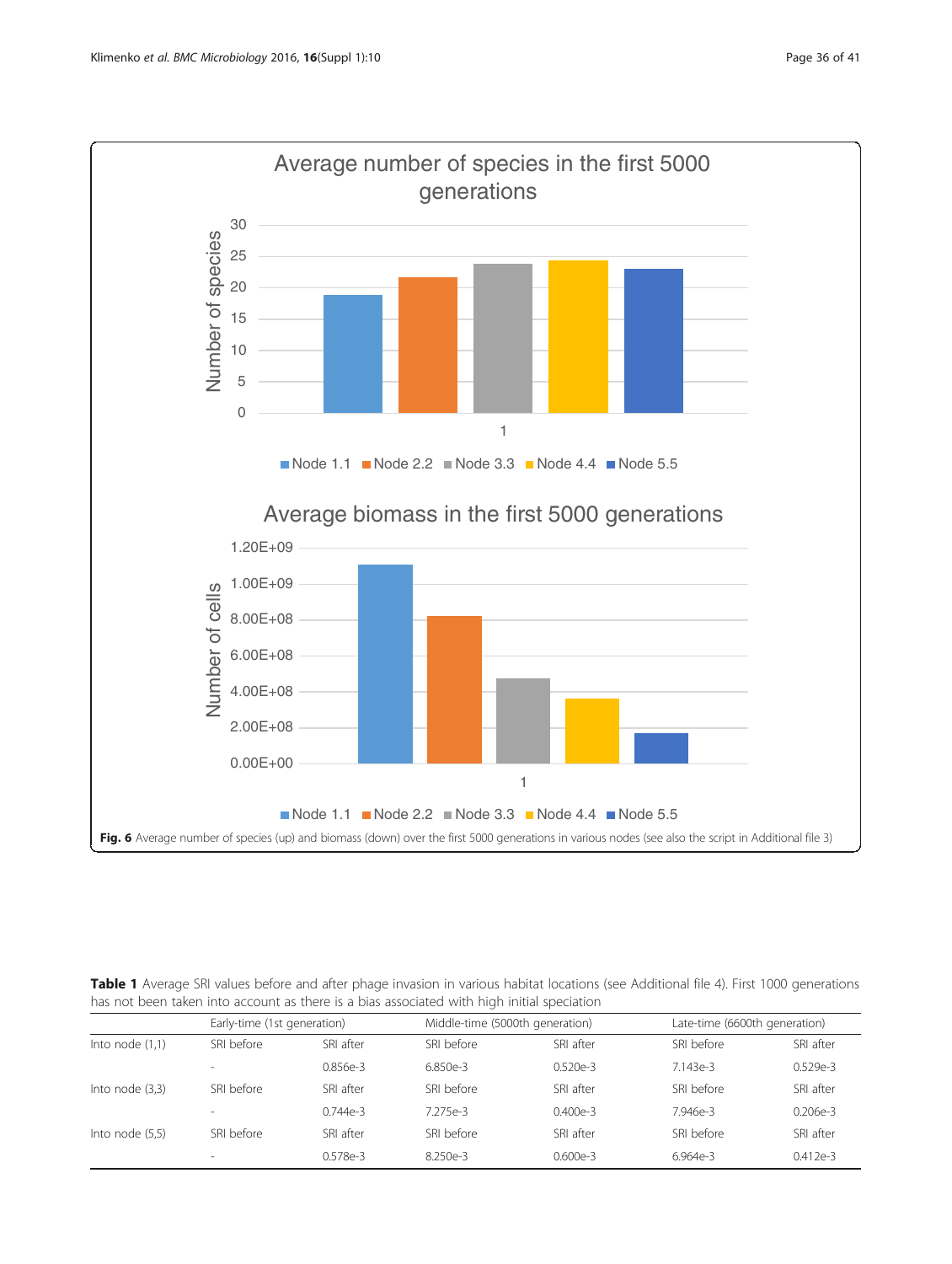<span id="page-5-0"></span>

Table 1 Average SRI values before and after phage invasion in various habitat locations (see Additional file [4\)](#page-9-0). First 1000 generations has not been taken into account as there is a bias associated with high initial speciation

|                   | Early-time (1st generation) |            | Middle-time (5000th generation) |            | Late-time (6600th generation) |            |
|-------------------|-----------------------------|------------|---------------------------------|------------|-------------------------------|------------|
| Into node $(1,1)$ | SRI before                  | SRI after  | SRI before                      | SRI after  | SRI before                    | SRI after  |
|                   |                             | $0.856e-3$ | $6.850e-3$                      | $0.520e-3$ | $7.143e-3$                    | $0.529e-3$ |
| Into node $(3,3)$ | SRI before                  | SRI after  | SRI before                      | SRI after  | SRI before                    | SRI after  |
|                   |                             | $0.744e-3$ | 7.275e-3                        | $0.400e-3$ | 7.946e-3                      | $0.206e-3$ |
| Into node $(5.5)$ | SRI before                  | SRI after  | SRI before                      | SRI after  | SRI before                    | SRI after  |
|                   | $\sim$                      | 0.578e-3   | $8.250e-3$                      | $0.600e-3$ | 6.964e-3                      | $0.412e-3$ |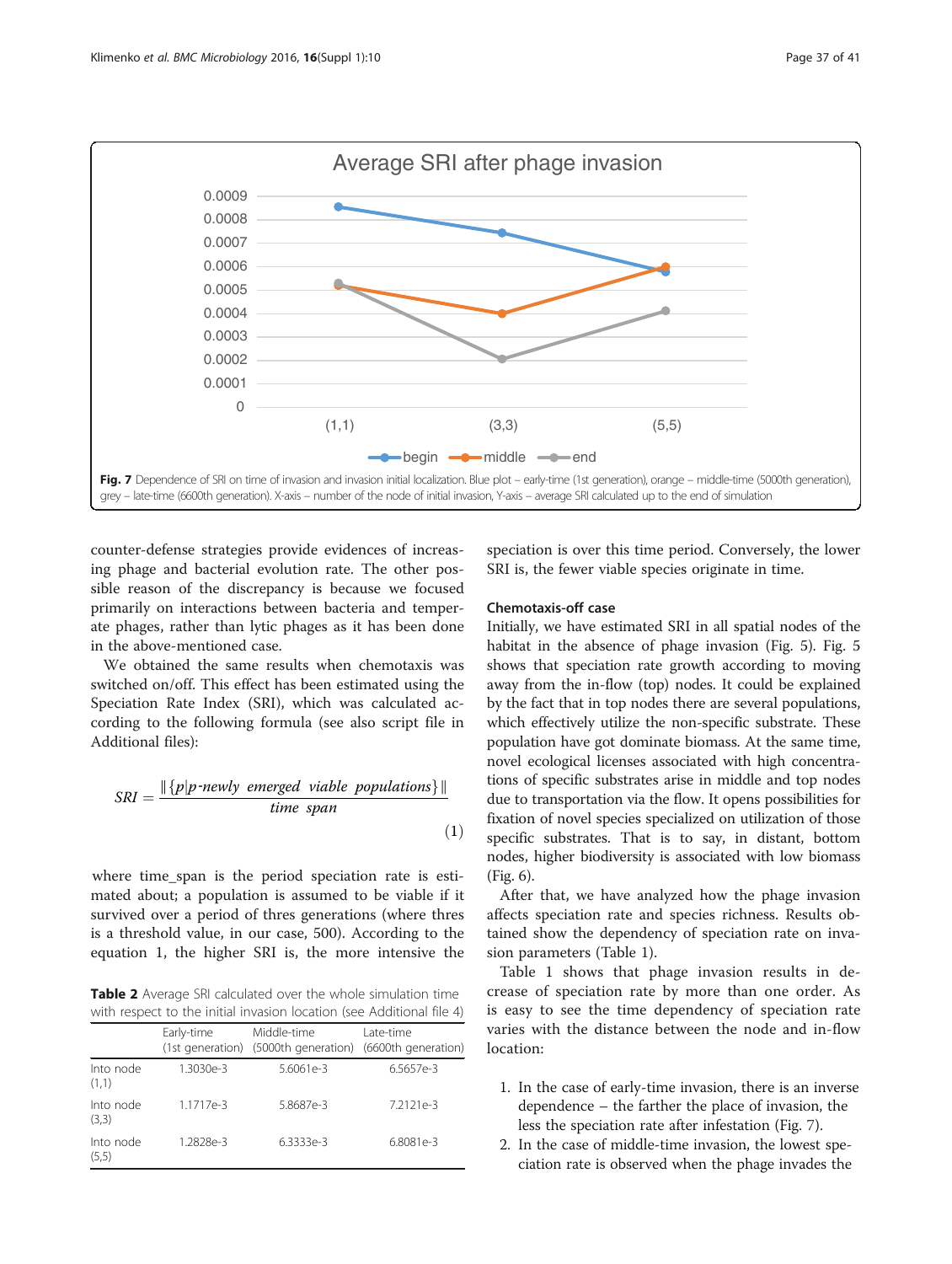<span id="page-6-0"></span>

counter-defense strategies provide evidences of increasing phage and bacterial evolution rate. The other possible reason of the discrepancy is because we focused primarily on interactions between bacteria and temperate phages, rather than lytic phages as it has been done in the above-mentioned case.

We obtained the same results when chemotaxis was switched on/off. This effect has been estimated using the Speciation Rate Index (SRI), which was calculated according to the following formula (see also script file in Additional files):

$$
SRI = \frac{\|\{p|p\text{-newly emerged viable populations}\}\|}{\text{time span}}\tag{1}
$$

where time\_span is the period speciation rate is estimated about; a population is assumed to be viable if it survived over a period of thres generations (where thres is a threshold value, in our case, 500). According to the equation 1, the higher SRI is, the more intensive the

Table 2 Average SRI calculated over the whole simulation time with respect to the initial invasion location (see Additional file [4\)](#page-9-0)

|                    | Early-time<br>(1st generation) | Middle-time<br>(5000th generation) | l ate-time<br>(6600th generation) |
|--------------------|--------------------------------|------------------------------------|-----------------------------------|
| Into node<br>(1,1) | 1.3030e-3                      | 5.6061e-3                          | 6.5657e-3                         |
| Into node<br>(3,3) | 1.1717e-3                      | 5.8687e-3                          | 7.2121e-3                         |
| Into node<br>(5,5) | 1.2828e-3                      | 6.3333e-3                          | 6.8081e-3                         |

speciation is over this time period. Conversely, the lower SRI is, the fewer viable species originate in time.

#### Chemotaxis-off case

Initially, we have estimated SRI in all spatial nodes of the habitat in the absence of phage invasion (Fig. [5\)](#page-4-0). Fig. [5](#page-4-0) shows that speciation rate growth according to moving away from the in-flow (top) nodes. It could be explained by the fact that in top nodes there are several populations, which effectively utilize the non-specific substrate. These population have got dominate biomass. At the same time, novel ecological licenses associated with high concentrations of specific substrates arise in middle and top nodes due to transportation via the flow. It opens possibilities for fixation of novel species specialized on utilization of those specific substrates. That is to say, in distant, bottom nodes, higher biodiversity is associated with low biomass (Fig. [6](#page-5-0)).

After that, we have analyzed how the phage invasion affects speciation rate and species richness. Results obtained show the dependency of speciation rate on invasion parameters (Table [1](#page-5-0)).

Table [1](#page-5-0) shows that phage invasion results in decrease of speciation rate by more than one order. As is easy to see the time dependency of speciation rate varies with the distance between the node and in-flow location:

- 1. In the case of early-time invasion, there is an inverse dependence – the farther the place of invasion, the less the speciation rate after infestation (Fig. 7).
- 2. In the case of middle-time invasion, the lowest speciation rate is observed when the phage invades the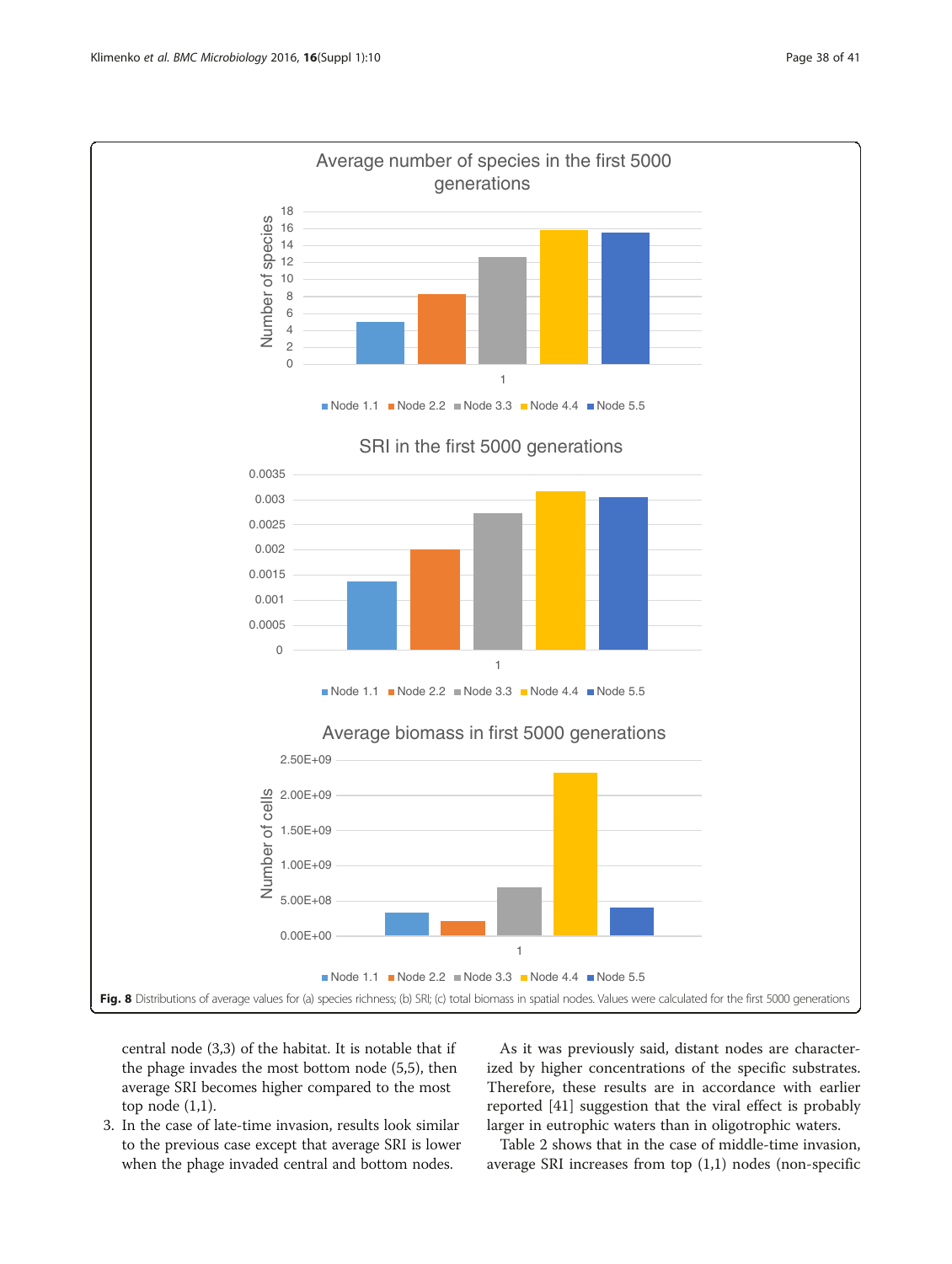<span id="page-7-0"></span>

central node (3,3) of the habitat. It is notable that if the phage invades the most bottom node (5,5), then average SRI becomes higher compared to the most top node (1,1).

3. In the case of late-time invasion, results look similar to the previous case except that average SRI is lower when the phage invaded central and bottom nodes.

As it was previously said, distant nodes are characterized by higher concentrations of the specific substrates. Therefore, these results are in accordance with earlier reported [\[41](#page-10-0)] suggestion that the viral effect is probably larger in eutrophic waters than in oligotrophic waters.

Table [2](#page-6-0) shows that in the case of middle-time invasion, average SRI increases from top (1,1) nodes (non-specific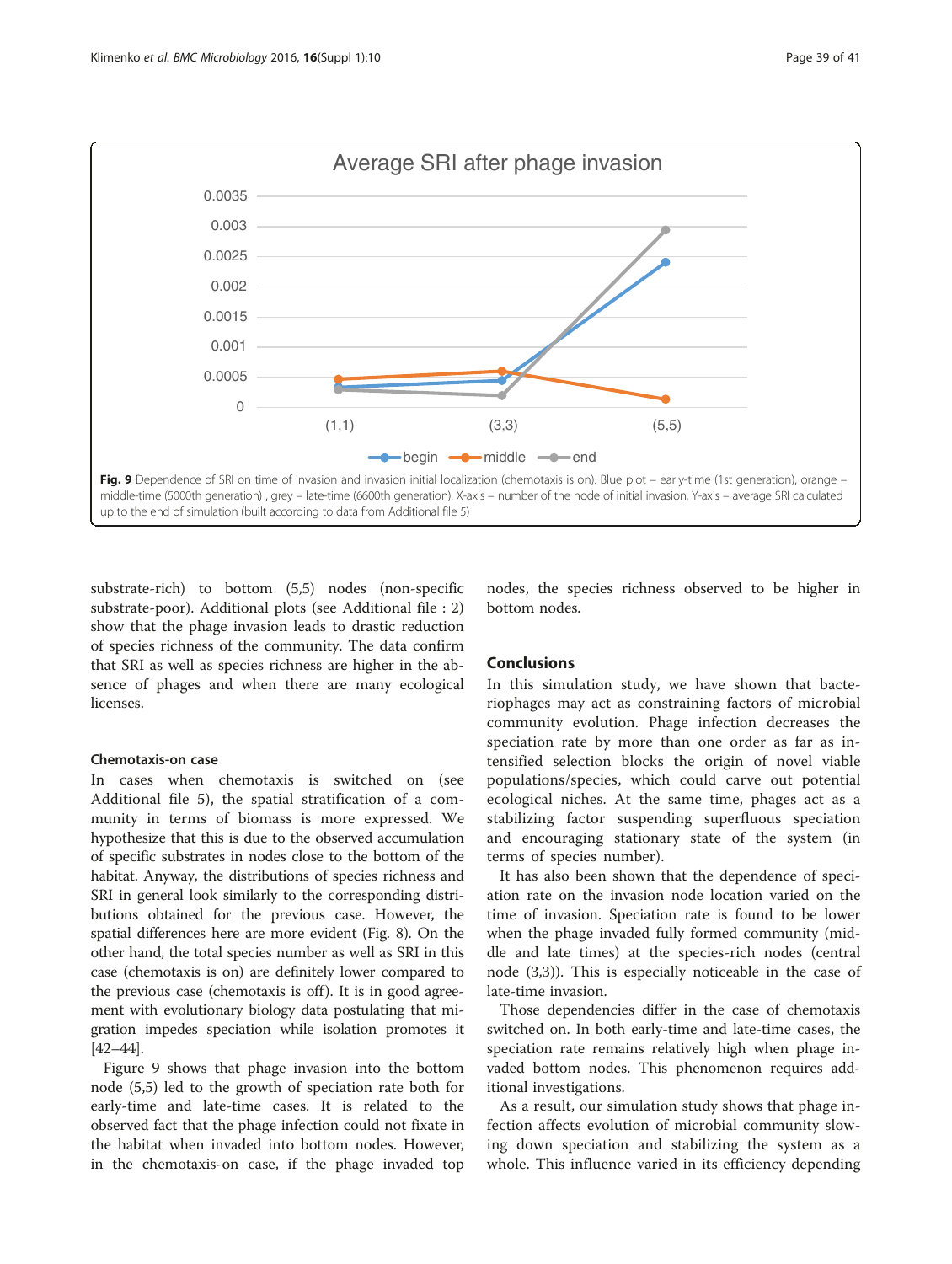

substrate-rich) to bottom (5,5) nodes (non-specific substrate-poor). Additional plots (see Additional file : [2](#page-9-0)) show that the phage invasion leads to drastic reduction of species richness of the community. The data confirm that SRI as well as species richness are higher in the absence of phages and when there are many ecological licenses.

### Chemotaxis-on case

In cases when chemotaxis is switched on (see Additional file [5](#page-9-0)), the spatial stratification of a community in terms of biomass is more expressed. We hypothesize that this is due to the observed accumulation of specific substrates in nodes close to the bottom of the habitat. Anyway, the distributions of species richness and SRI in general look similarly to the corresponding distributions obtained for the previous case. However, the spatial differences here are more evident (Fig. [8\)](#page-7-0). On the other hand, the total species number as well as SRI in this case (chemotaxis is on) are definitely lower compared to the previous case (chemotaxis is off). It is in good agreement with evolutionary biology data postulating that migration impedes speciation while isolation promotes it [[42](#page-10-0)–[44\]](#page-10-0).

Figure 9 shows that phage invasion into the bottom node (5,5) led to the growth of speciation rate both for early-time and late-time cases. It is related to the observed fact that the phage infection could not fixate in the habitat when invaded into bottom nodes. However, in the chemotaxis-on case, if the phage invaded top

nodes, the species richness observed to be higher in bottom nodes.

## Conclusions

In this simulation study, we have shown that bacteriophages may act as constraining factors of microbial community evolution. Phage infection decreases the speciation rate by more than one order as far as intensified selection blocks the origin of novel viable populations/species, which could carve out potential ecological niches. At the same time, phages act as a stabilizing factor suspending superfluous speciation and encouraging stationary state of the system (in terms of species number).

It has also been shown that the dependence of speciation rate on the invasion node location varied on the time of invasion. Speciation rate is found to be lower when the phage invaded fully formed community (middle and late times) at the species-rich nodes (central node (3,3)). This is especially noticeable in the case of late-time invasion.

Those dependencies differ in the case of chemotaxis switched on. In both early-time and late-time cases, the speciation rate remains relatively high when phage invaded bottom nodes. This phenomenon requires additional investigations.

As a result, our simulation study shows that phage infection affects evolution of microbial community slowing down speciation and stabilizing the system as a whole. This influence varied in its efficiency depending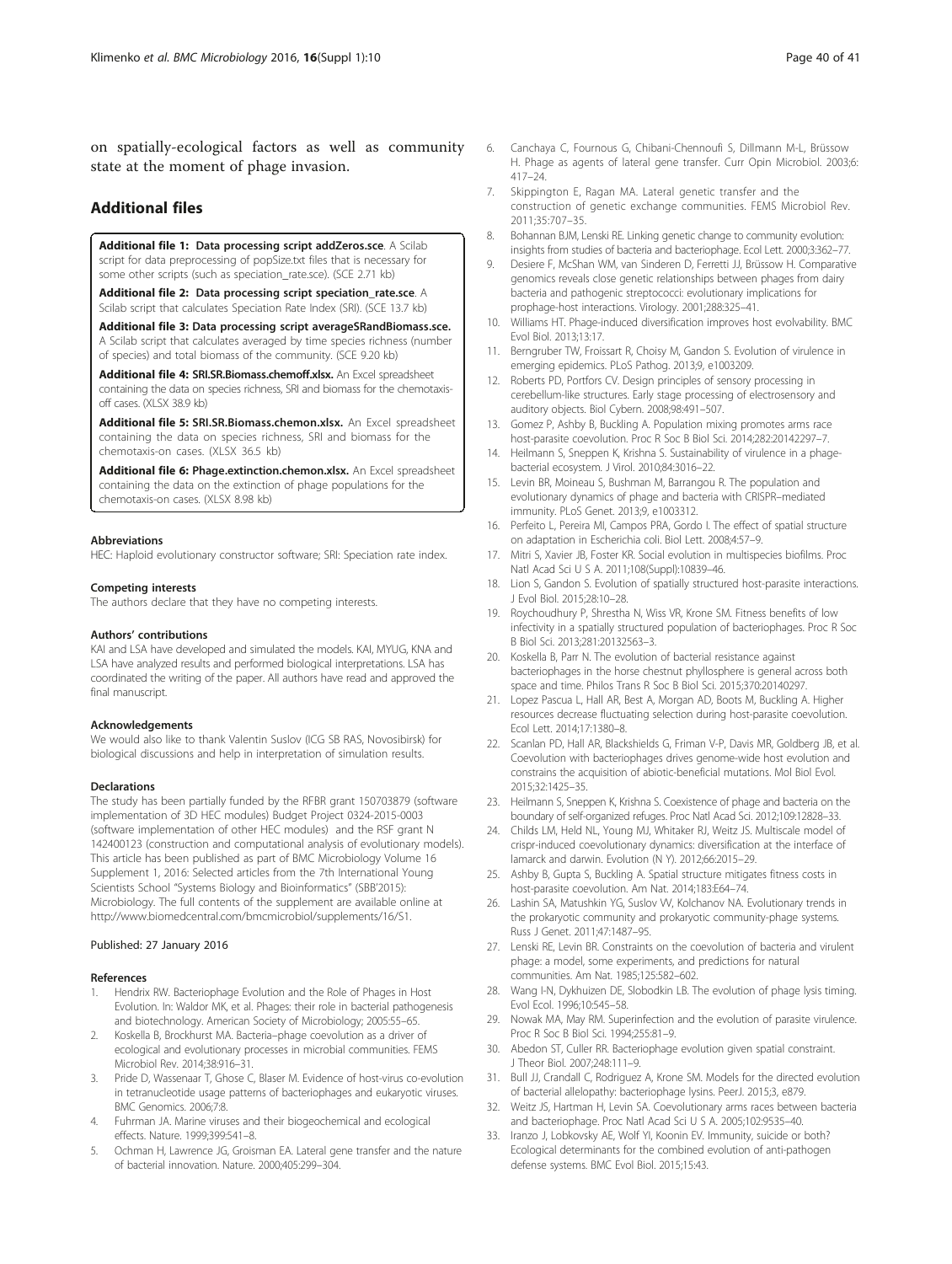<span id="page-9-0"></span>on spatially-ecological factors as well as community state at the moment of phage invasion.

## Additional files

[Additional file 1:](dx.doi.org/10.1186/s12866-015-0620-4) Data processing script addZeros.sce. A Scilab script for data preprocessing of popSize.txt files that is necessary for some other scripts (such as speciation rate.sce). (SCE 2.71 kb)

[Additional file 2:](dx.doi.org/10.1186/s12866-015-0620-4) Data processing script speciation\_rate.sce. A Scilab script that calculates Speciation Rate Index (SRI). (SCE 13.7 kb)

[Additional file 3:](dx.doi.org/10.1186/s12866-015-0620-4) Data processing script averageSRandBiomass.sce. A Scilab script that calculates averaged by time species richness (number of species) and total biomass of the community. (SCE 9.20 kb)

[Additional file 4:](dx.doi.org/10.1186/s12866-015-0620-4) SRI.SR.Biomass.chemoff.xlsx. An Excel spreadsheet containing the data on species richness, SRI and biomass for the chemotaxisoff cases. (XLSX 38.9 kb)

[Additional file 5:](dx.doi.org/10.1186/s12866-015-0620-4) SRI.SR.Biomass.chemon.xlsx. An Excel spreadsheet containing the data on species richness, SRI and biomass for the chemotaxis-on cases. (XLSX 36.5 kb)

[Additional file 6:](dx.doi.org/10.1186/s12866-015-0620-4) Phage.extinction.chemon.xlsx. An Excel spreadsheet containing the data on the extinction of phage populations for the chemotaxis-on cases. (XLSX 8.98 kb)

#### Abbreviations

HEC: Haploid evolutionary constructor software; SRI: Speciation rate index.

#### Competing interests

The authors declare that they have no competing interests.

#### Authors' contributions

KAI and LSA have developed and simulated the models. KAI, MYUG, KNA and LSA have analyzed results and performed biological interpretations. LSA has coordinated the writing of the paper. All authors have read and approved the final manuscript.

#### Acknowledgements

We would also like to thank Valentin Suslov (ICG SB RAS, Novosibirsk) for biological discussions and help in interpretation of simulation results.

#### Declarations

The study has been partially funded by the RFBR grant 150703879 (software implementation of 3D HEC modules) Budget Project 0324-2015-0003 (software implementation of other HEC modules) and the RSF grant N 142400123 (construction and computational analysis of evolutionary models). This article has been published as part of BMC Microbiology Volume 16 Supplement 1, 2016: Selected articles from the 7th International Young Scientists School "Systems Biology and Bioinformatics" (SBB'2015): Microbiology. The full contents of the supplement are available online at <http://www.biomedcentral.com/bmcmicrobiol/supplements/16/S1>.

#### Published: 27 January 2016

#### References

- 1. Hendrix RW. Bacteriophage Evolution and the Role of Phages in Host Evolution. In: Waldor MK, et al. Phages: their role in bacterial pathogenesis and biotechnology. American Society of Microbiology; 2005:55–65.
- 2. Koskella B, Brockhurst MA. Bacteria–phage coevolution as a driver of ecological and evolutionary processes in microbial communities. FEMS Microbiol Rev. 2014;38:916–31.
- Pride D, Wassenaar T, Ghose C, Blaser M. Evidence of host-virus co-evolution in tetranucleotide usage patterns of bacteriophages and eukaryotic viruses. BMC Genomics. 2006;7:8.
- 4. Fuhrman JA. Marine viruses and their biogeochemical and ecological effects. Nature. 1999;399:541–8.
- 5. Ochman H, Lawrence JG, Groisman EA. Lateral gene transfer and the nature of bacterial innovation. Nature. 2000;405:299–304.
- 6. Canchaya C, Fournous G, Chibani-Chennoufi S, Dillmann M-L, Brüssow H. Phage as agents of lateral gene transfer. Curr Opin Microbiol. 2003;6: 417–24.
- 7. Skippington E, Ragan MA. Lateral genetic transfer and the construction of genetic exchange communities. FEMS Microbiol Rev. 2011;35:707–35.
- 8. Bohannan BJM, Lenski RE. Linking genetic change to community evolution: insights from studies of bacteria and bacteriophage. Ecol Lett. 2000;3:362–77.
- 9. Desiere F, McShan WM, van Sinderen D, Ferretti JJ, Brüssow H. Comparative genomics reveals close genetic relationships between phages from dairy bacteria and pathogenic streptococci: evolutionary implications for prophage-host interactions. Virology. 2001;288:325–41.
- 10. Williams HT. Phage-induced diversification improves host evolvability. BMC Evol Biol. 2013;13:17.
- 11. Berngruber TW, Froissart R, Choisy M, Gandon S. Evolution of virulence in emerging epidemics. PLoS Pathog. 2013;9, e1003209.
- 12. Roberts PD, Portfors CV. Design principles of sensory processing in cerebellum-like structures. Early stage processing of electrosensory and auditory objects. Biol Cybern. 2008;98:491–507.
- 13. Gomez P, Ashby B, Buckling A. Population mixing promotes arms race host-parasite coevolution. Proc R Soc B Biol Sci. 2014;282:20142297–7.
- 14. Heilmann S, Sneppen K, Krishna S. Sustainability of virulence in a phagebacterial ecosystem. J Virol. 2010;84:3016–22.
- 15. Levin BR, Moineau S, Bushman M, Barrangou R. The population and evolutionary dynamics of phage and bacteria with CRISPR–mediated immunity. PLoS Genet. 2013;9, e1003312.
- 16. Perfeito L, Pereira MI, Campos PRA, Gordo I. The effect of spatial structure on adaptation in Escherichia coli. Biol Lett. 2008;4:57–9.
- 17. Mitri S, Xavier JB, Foster KR. Social evolution in multispecies biofilms. Proc Natl Acad Sci U S A. 2011;108(Suppl):10839–46.
- 18. Lion S, Gandon S. Evolution of spatially structured host-parasite interactions. J Evol Biol. 2015;28:10–28.
- 19. Roychoudhury P, Shrestha N, Wiss VR, Krone SM. Fitness benefits of low infectivity in a spatially structured population of bacteriophages. Proc R Soc B Biol Sci. 2013;281:20132563–3.
- 20. Koskella B, Parr N. The evolution of bacterial resistance against bacteriophages in the horse chestnut phyllosphere is general across both space and time. Philos Trans R Soc B Biol Sci. 2015;370:20140297.
- 21. Lopez Pascua L, Hall AR, Best A, Morgan AD, Boots M, Buckling A. Higher resources decrease fluctuating selection during host-parasite coevolution. Ecol Lett. 2014;17:1380–8.
- 22. Scanlan PD, Hall AR, Blackshields G, Friman V-P, Davis MR, Goldberg JB, et al. Coevolution with bacteriophages drives genome-wide host evolution and constrains the acquisition of abiotic-beneficial mutations. Mol Biol Evol. 2015;32:1425–35.
- 23. Heilmann S, Sneppen K, Krishna S. Coexistence of phage and bacteria on the boundary of self-organized refuges. Proc Natl Acad Sci. 2012;109:12828–33.
- 24. Childs LM, Held NL, Young MJ, Whitaker RJ, Weitz JS. Multiscale model of crispr-induced coevolutionary dynamics: diversification at the interface of lamarck and darwin. Evolution (N Y). 2012;66:2015–29.
- 25. Ashby B, Gupta S, Buckling A. Spatial structure mitigates fitness costs in host-parasite coevolution. Am Nat. 2014;183:E64–74.
- 26. Lashin SA, Matushkin YG, Suslov VV, Kolchanov NA. Evolutionary trends in the prokaryotic community and prokaryotic community-phage systems. Russ J Genet. 2011;47:1487–95.
- 27. Lenski RE, Levin BR. Constraints on the coevolution of bacteria and virulent phage: a model, some experiments, and predictions for natural communities. Am Nat. 1985;125:582–602.
- 28. Wang I-N, Dykhuizen DE, Slobodkin LB. The evolution of phage lysis timing. Evol Ecol. 1996;10:545–58.
- 29. Nowak MA, May RM. Superinfection and the evolution of parasite virulence. Proc R Soc B Biol Sci. 1994;255:81–9.
- 30. Abedon ST, Culler RR. Bacteriophage evolution given spatial constraint. J Theor Biol. 2007;248:111–9.
- 31. Bull JJ, Crandall C, Rodriguez A, Krone SM. Models for the directed evolution of bacterial allelopathy: bacteriophage lysins. PeerJ. 2015;3, e879.
- 32. Weitz JS, Hartman H, Levin SA. Coevolutionary arms races between bacteria and bacteriophage. Proc Natl Acad Sci U S A. 2005;102:9535–40.
- 33. Iranzo J, Lobkovsky AE, Wolf YI, Koonin EV. Immunity, suicide or both? Ecological determinants for the combined evolution of anti-pathogen defense systems. BMC Evol Biol. 2015;15:43.